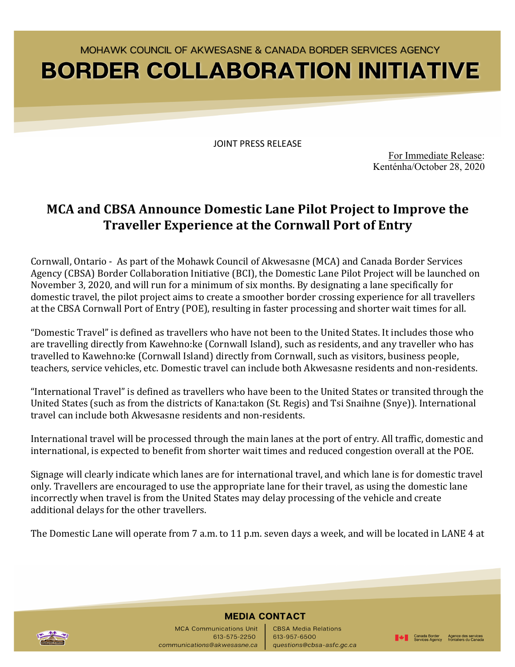## MOHAWK COUNCIL OF AKWESASNE & CANADA BORDER SERVICES AGENCY **BORDER COLLABORATION INITIATIVE**

JOINT PRESS RELEASE

For Immediate Release: Kenténha/October 28, 2020

■ Canada Border Agence des services<br>
Services Agency frontaliers du Canada

### **MCA and CBSA Announce Domestic Lane Pilot Project to Improve the Traveller Experience at the Cornwall Port of Entry**

Cornwall, Ontario - As part of the Mohawk Council of Akwesasne (MCA) and Canada Border Services Agency (CBSA) Border Collaboration Initiative (BCI), the Domestic Lane Pilot Project will be launched on November 3, 2020, and will run for a minimum of six months. By designating a lane specifically for domestic travel, the pilot project aims to create a smoother border crossing experience for all travellers at the CBSA Cornwall Port of Entry (POE), resulting in faster processing and shorter wait times for all.

"Domestic Travel" is defined as travellers who have not been to the United States. It includes those who are travelling directly from Kawehno:ke (Cornwall Island), such as residents, and any traveller who has travelled to Kawehno:ke (Cornwall Island) directly from Cornwall, such as visitors, business people, teachers, service vehicles, etc. Domestic travel can include both Akwesasne residents and non-residents.

"International Travel" is defined as travellers who have been to the United States or transited through the United States (such as from the districts of Kana:takon (St. Regis) and Tsi Snaihne (Snye)). International travel can include both Akwesasne residents and non-residents.

International travel will be processed through the main lanes at the port of entry. All traffic, domestic and international, is expected to benefit from shorter wait times and reduced congestion overall at the POE.

Signage will clearly indicate which lanes are for international travel, and which lane is for domestic travel only. Travellers are encouraged to use the appropriate lane for their travel, as using the domestic lane incorrectly when travel is from the United States may delay processing of the vehicle and create additional delays for the other travellers.

The Domestic Lane will operate from 7 a.m. to 11 p.m. seven days a week, and will be located in LANE 4 at



### **MEDIA CONTACT**

MCA Communications Unit **CBSA Media Relations** 613-575-2250 613-957-6500 communications@akwesasne.ca questions@cbsa-asfc.gc.ca